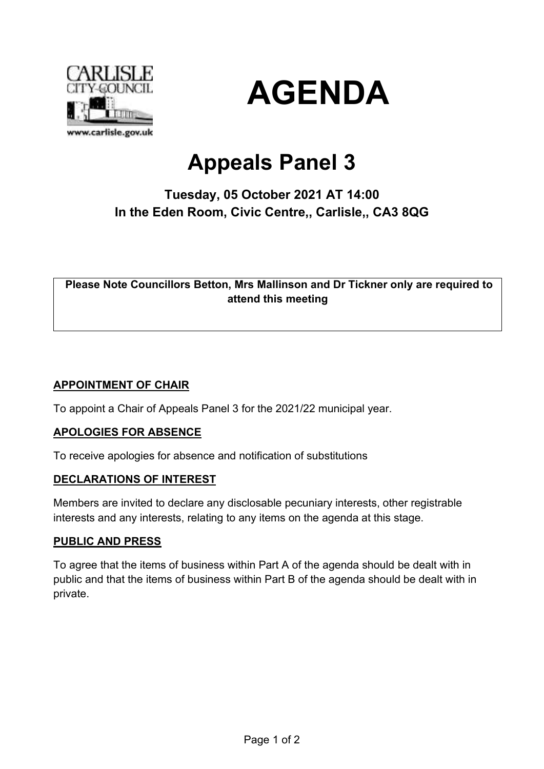



# **Appeals Panel 3**

## **Tuesday, 05 October 2021 AT 14:00 In the Eden Room, Civic Centre,, Carlisle,, CA3 8QG**

**Please Note Councillors Betton, Mrs Mallinson and Dr Tickner only are required to attend this meeting**

#### **APPOINTMENT OF CHAIR**

To appoint a Chair of Appeals Panel 3 for the 2021/22 municipal year.

#### **APOLOGIES FOR ABSENCE**

To receive apologies for absence and notification of substitutions

#### **DECLARATIONS OF INTEREST**

Members are invited to declare any disclosable pecuniary interests, other registrable interests and any interests, relating to any items on the agenda at this stage.

#### **PUBLIC AND PRESS**

To agree that the items of business within Part A of the agenda should be dealt with in public and that the items of business within Part B of the agenda should be dealt with in private.